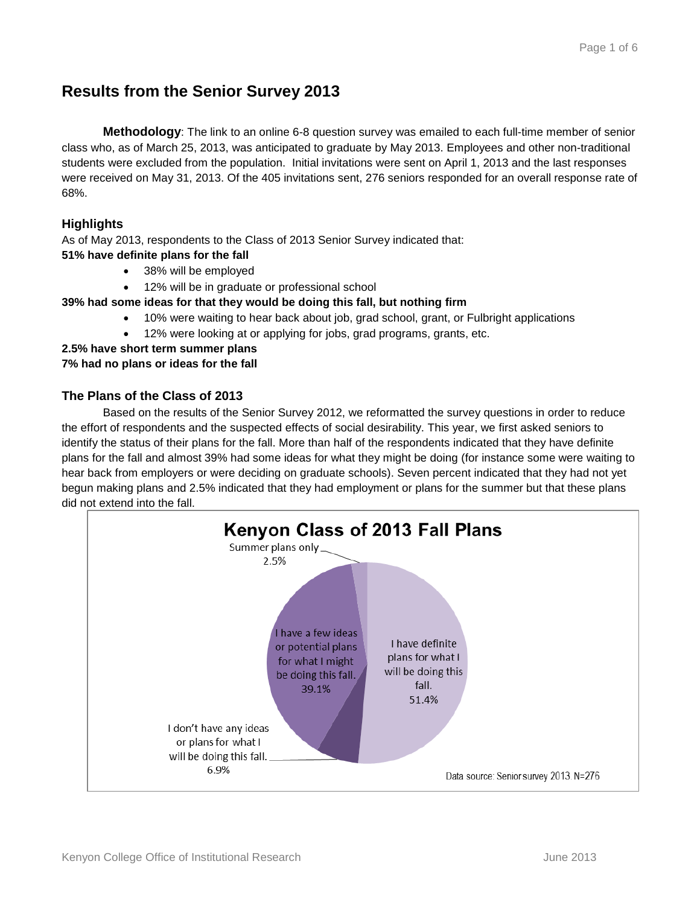## **Results from the Senior Survey 2013**

**Methodology**: The link to an online 6-8 question survey was emailed to each full-time member of senior class who, as of March 25, 2013, was anticipated to graduate by May 2013. Employees and other non-traditional students were excluded from the population. Initial invitations were sent on April 1, 2013 and the last responses were received on May 31, 2013. Of the 405 invitations sent, 276 seniors responded for an overall response rate of 68%.

### **Highlights**

As of May 2013, respondents to the Class of 2013 Senior Survey indicated that:

- **51% have definite plans for the fall**
	- 38% will be employed
	- 12% will be in graduate or professional school

#### **39% had some ideas for that they would be doing this fall, but nothing firm**

- 10% were waiting to hear back about job, grad school, grant, or Fulbright applications
- 12% were looking at or applying for jobs, grad programs, grants, etc.

# **2.5% have short term summer plans**

#### **7% had no plans or ideas for the fall**

#### **The Plans of the Class of 2013**

Based on the results of the Senior Survey 2012, we reformatted the survey questions in order to reduce the effort of respondents and the suspected effects of social desirability. This year, we first asked seniors to identify the status of their plans for the fall. More than half of the respondents indicated that they have definite plans for the fall and almost 39% had some ideas for what they might be doing (for instance some were waiting to hear back from employers or were deciding on graduate schools). Seven percent indicated that they had not yet begun making plans and 2.5% indicated that they had employment or plans for the summer but that these plans did not extend into the fall.

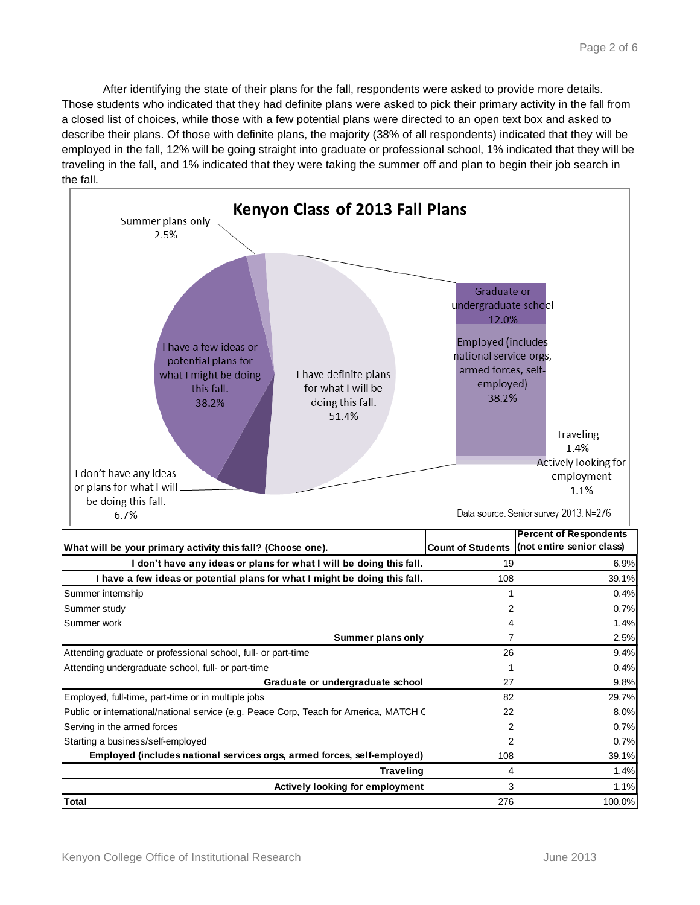After identifying the state of their plans for the fall, respondents were asked to provide more details. Those students who indicated that they had definite plans were asked to pick their primary activity in the fall from a closed list of choices, while those with a few potential plans were directed to an open text box and asked to describe their plans. Of those with definite plans, the majority (38% of all respondents) indicated that they will be employed in the fall, 12% will be going straight into graduate or professional school, 1% indicated that they will be traveling in the fall, and 1% indicated that they were taking the summer off and plan to begin their job search in the fall.

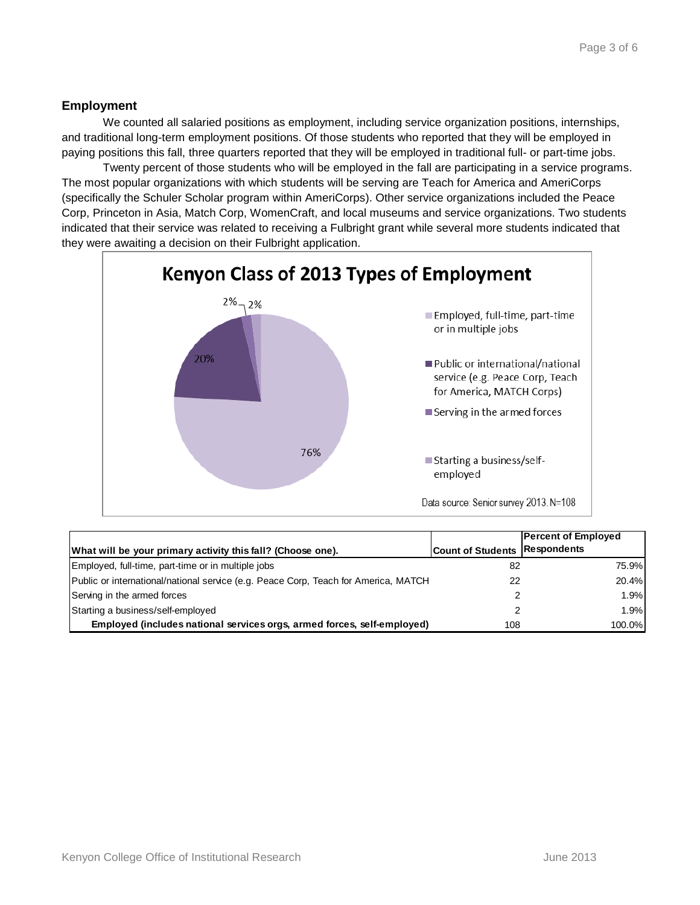### **Employment**

We counted all salaried positions as employment, including service organization positions, internships, and traditional long-term employment positions. Of those students who reported that they will be employed in paying positions this fall, three quarters reported that they will be employed in traditional full- or part-time jobs.

Twenty percent of those students who will be employed in the fall are participating in a service programs. The most popular organizations with which students will be serving are Teach for America and AmeriCorps (specifically the Schuler Scholar program within AmeriCorps). Other service organizations included the Peace Corp, Princeton in Asia, Match Corp, WomenCraft, and local museums and service organizations. Two students indicated that their service was related to receiving a Fulbright grant while several more students indicated that they were awaiting a decision on their Fulbright application.



| What will be your primary activity this fall? (Choose one).                         | <b>Count of Students Respondents</b> | <b>Percent of Employed</b> |
|-------------------------------------------------------------------------------------|--------------------------------------|----------------------------|
|                                                                                     |                                      |                            |
| Employed, full-time, part-time or in multiple jobs                                  | 82                                   | 75.9%                      |
| Public or international/national service (e.g. Peace Corp, Teach for America, MATCH | 22                                   | 20.4%                      |
| Serving in the armed forces                                                         | 2                                    | 1.9%                       |
| Starting a business/self-employed                                                   | 2                                    | 1.9%                       |
| Employed (includes national services orgs, armed forces, self-employed)             | 108                                  | 100.0%                     |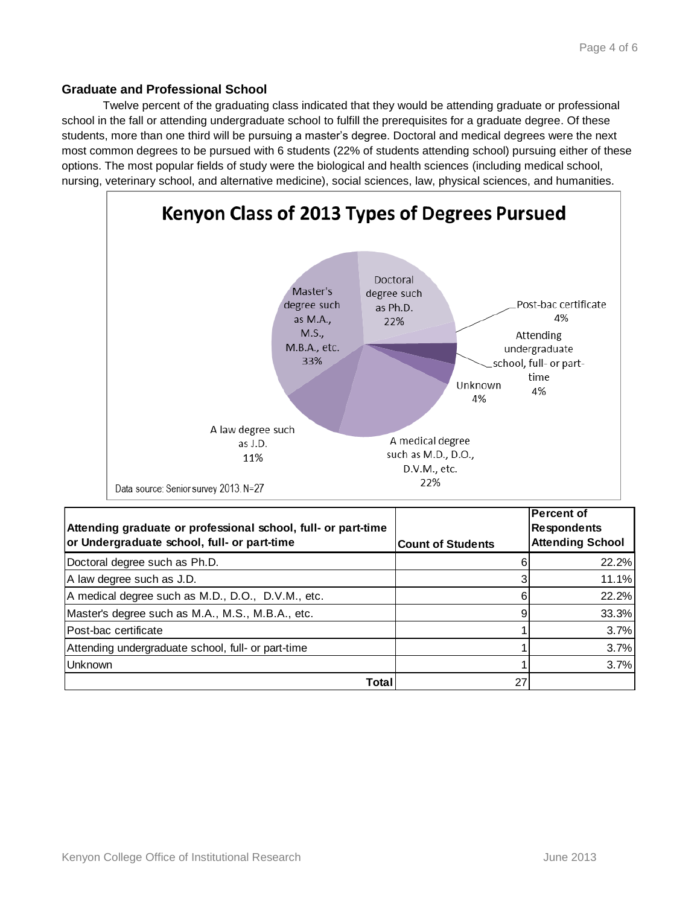#### **Graduate and Professional School**

Twelve percent of the graduating class indicated that they would be attending graduate or professional school in the fall or attending undergraduate school to fulfill the prerequisites for a graduate degree. Of these students, more than one third will be pursuing a master's degree. Doctoral and medical degrees were the next most common degrees to be pursued with 6 students (22% of students attending school) pursuing either of these options. The most popular fields of study were the biological and health sciences (including medical school, nursing, veterinary school, and alternative medicine), social sciences, law, physical sciences, and humanities.



**Total** 27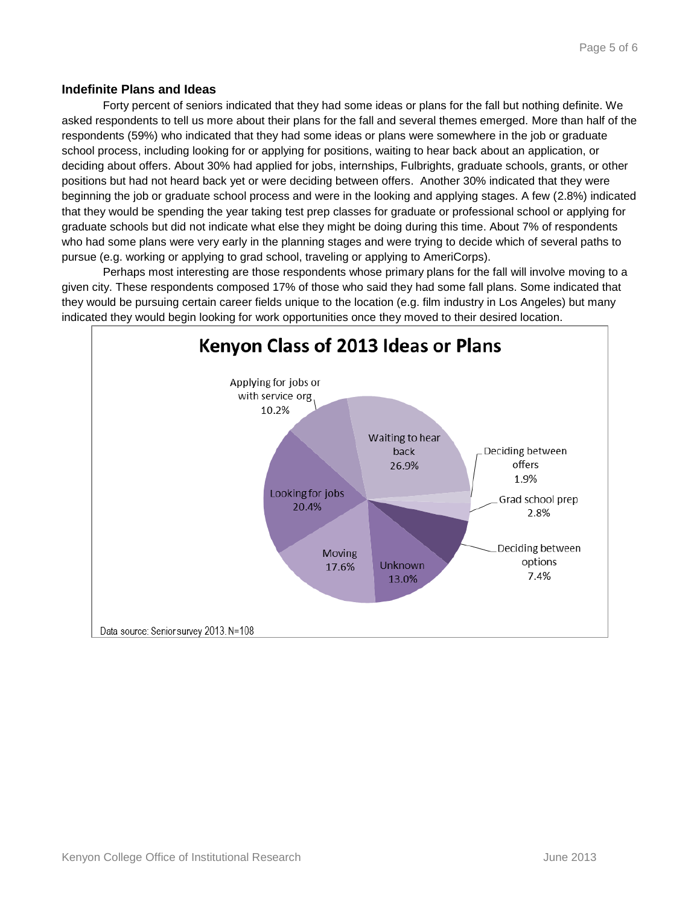#### **Indefinite Plans and Ideas**

Forty percent of seniors indicated that they had some ideas or plans for the fall but nothing definite. We asked respondents to tell us more about their plans for the fall and several themes emerged. More than half of the respondents (59%) who indicated that they had some ideas or plans were somewhere in the job or graduate school process, including looking for or applying for positions, waiting to hear back about an application, or deciding about offers. About 30% had applied for jobs, internships, Fulbrights, graduate schools, grants, or other positions but had not heard back yet or were deciding between offers. Another 30% indicated that they were beginning the job or graduate school process and were in the looking and applying stages. A few (2.8%) indicated that they would be spending the year taking test prep classes for graduate or professional school or applying for graduate schools but did not indicate what else they might be doing during this time. About 7% of respondents who had some plans were very early in the planning stages and were trying to decide which of several paths to pursue (e.g. working or applying to grad school, traveling or applying to AmeriCorps).

Perhaps most interesting are those respondents whose primary plans for the fall will involve moving to a given city. These respondents composed 17% of those who said they had some fall plans. Some indicated that they would be pursuing certain career fields unique to the location (e.g. film industry in Los Angeles) but many indicated they would begin looking for work opportunities once they moved to their desired location.